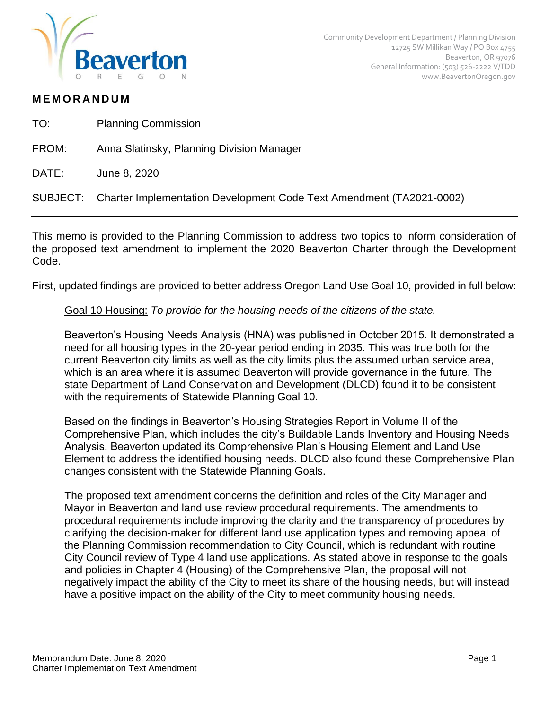

## **M E M O R A N D U M**

- TO: Planning Commission
- FROM: Anna Slatinsky, Planning Division Manager
- DATE: June 8, 2020

SUBJECT: Charter Implementation Development Code Text Amendment (TA2021-0002)

This memo is provided to the Planning Commission to address two topics to inform consideration of the proposed text amendment to implement the 2020 Beaverton Charter through the Development Code.

First, updated findings are provided to better address Oregon Land Use Goal 10, provided in full below:

## Goal 10 Housing: *To provide for the housing needs of the citizens of the state.*

Beaverton's Housing Needs Analysis (HNA) was published in October 2015. It demonstrated a need for all housing types in the 20-year period ending in 2035. This was true both for the current Beaverton city limits as well as the city limits plus the assumed urban service area, which is an area where it is assumed Beaverton will provide governance in the future. The state Department of Land Conservation and Development (DLCD) found it to be consistent with the requirements of Statewide Planning Goal 10.

Based on the findings in Beaverton's Housing Strategies Report in Volume II of the Comprehensive Plan, which includes the city's Buildable Lands Inventory and Housing Needs Analysis, Beaverton updated its Comprehensive Plan's Housing Element and Land Use Element to address the identified housing needs. DLCD also found these Comprehensive Plan changes consistent with the Statewide Planning Goals.

The proposed text amendment concerns the definition and roles of the City Manager and Mayor in Beaverton and land use review procedural requirements. The amendments to procedural requirements include improving the clarity and the transparency of procedures by clarifying the decision-maker for different land use application types and removing appeal of the Planning Commission recommendation to City Council, which is redundant with routine City Council review of Type 4 land use applications. As stated above in response to the goals and policies in Chapter 4 (Housing) of the Comprehensive Plan, the proposal will not negatively impact the ability of the City to meet its share of the housing needs, but will instead have a positive impact on the ability of the City to meet community housing needs.